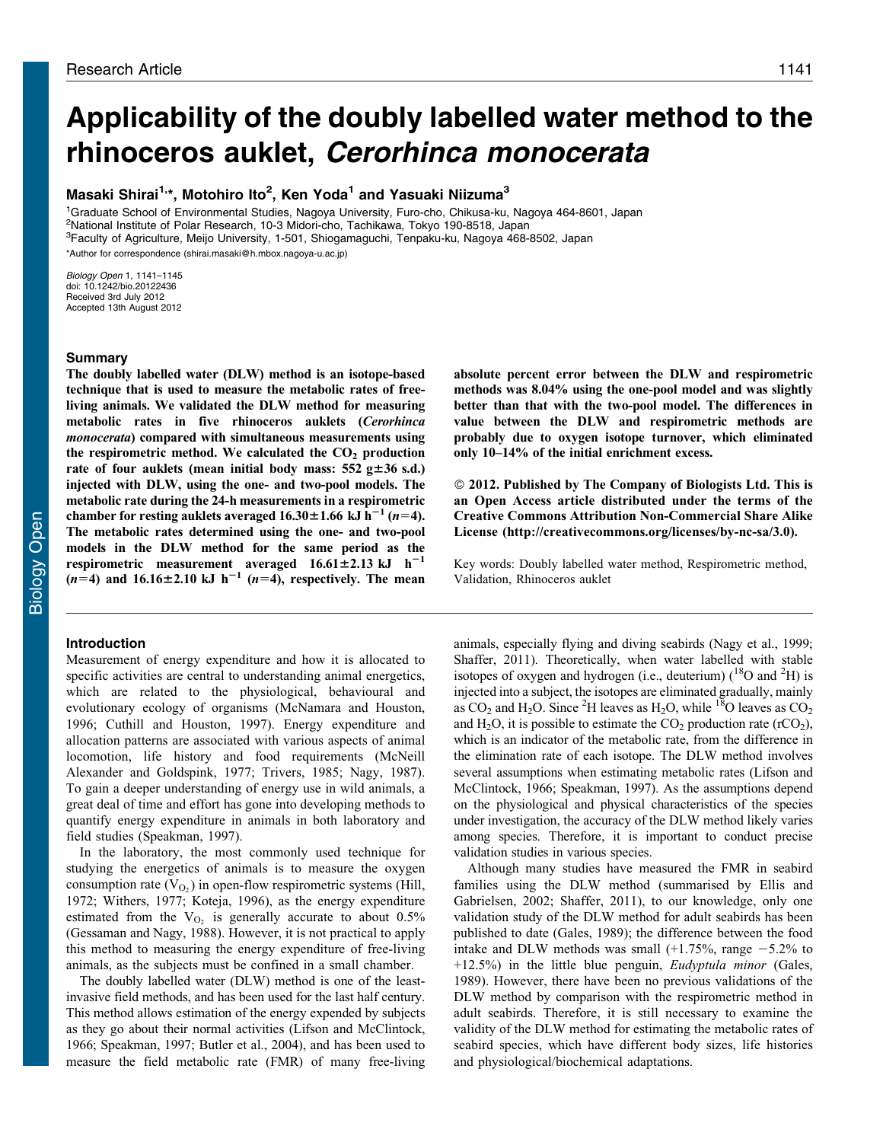# Applicability of the doubly labelled water method to the rhinoceros auklet, Cerorhinca monocerata

# Masaki Shirai<sup>1,</sup>\*, Motohiro Ito<sup>2</sup>, Ken Yoda<sup>1</sup> and Yasuaki Niizuma<sup>3</sup>

<sup>1</sup>Graduate School of Environmental Studies, Nagoya University, Furo-cho, Chikusa-ku, Nagoya 464-8601, Japan 2 National Institute of Polar Research, 10-3 Midori-cho, Tachikawa, Tokyo 190-8518, Japan 3 Faculty of Agriculture, Meijo University, 1-501, Shiogamaguchi, Tenpaku-ku, Nagoya 468-8502, Japan \*Author for correspondence ([shirai.masaki@h.mbox.nagoya-u.ac.jp\)](mailto:shirai.masaki@h.mbox.nagoya-u.ac.jp)

Biology Open 1, 1141–1145 doi: 10.1242/bio.20122436 Received 3rd July 2012 Accepted 13th August 2012

## Summary

The doubly labelled water (DLW) method is an isotope-based technique that is used to measure the metabolic rates of freeliving animals. We validated the DLW method for measuring metabolic rates in five rhinoceros auklets (Cerorhinca monocerata) compared with simultaneous measurements using the respirometric method. We calculated the  $CO<sub>2</sub>$  production rate of four auklets (mean initial body mass:  $552$  g $\pm 36$  s.d.) injected with DLW, using the one- and two-pool models. The metabolic rate during the 24-h measurements in a respirometric chamber for resting auklets averaged  $16.30\pm1.66$  kJ h<sup>-1</sup> (n=4). The metabolic rates determined using the one- and two-pool models in the DLW method for the same period as the respirometric measurement averaged  $16.61 \pm 2.13 \text{ kJ h}^{-1}$  $(n=4)$  and 16.16 $\pm$ 2.10 kJ h<sup>-1</sup> (n=4), respectively. The mean

# Introduction

Measurement of energy expenditure and how it is allocated to specific activities are central to understanding animal energetics, which are related to the physiological, behavioural and evolutionary ecology of organisms [\(McNamara and Houston,](#page-4-0) [1996; Cuthill and Houston, 1997](#page-4-0)). Energy expenditure and allocation patterns are associated with various aspects of animal locomotion, life history and food requirements [\(McNeill](#page-4-0) [Alexander and Goldspink, 1977](#page-4-0); [Trivers, 1985](#page-4-0); [Nagy, 1987](#page-4-0)). To gain a deeper understanding of energy use in wild animals, a great deal of time and effort has gone into developing methods to quantify energy expenditure in animals in both laboratory and field studies [\(Speakman, 1997\)](#page-4-0).

In the laboratory, the most commonly used technique for studying the energetics of animals is to measure the oxygen consumption rate  $(V<sub>O<sub>2</sub></sub>)$  in open-flow respirometric systems ([Hill,](#page-4-0) [1972; Withers, 1977; Koteja, 1996\)](#page-4-0), as the energy expenditure estimated from the  $V<sub>O2</sub>$  is generally accurate to about 0.5% ([Gessaman and Nagy, 1988\)](#page-4-0). However, it is not practical to apply this method to measuring the energy expenditure of free-living animals, as the subjects must be confined in a small chamber.

The doubly labelled water (DLW) method is one of the leastinvasive field methods, and has been used for the last half century. This method allows estimation of the energy expended by subjects as they go about their normal activities ([Lifson and McClintock,](#page-4-0) [1966](#page-4-0); [Speakman, 1997;](#page-4-0) [Butler et al., 2004\)](#page-3-0), and has been used to measure the field metabolic rate (FMR) of many free-living

absolute percent error between the DLW and respirometric methods was 8.04% using the one-pool model and was slightly better than that with the two-pool model. The differences in value between the DLW and respirometric methods are probably due to oxygen isotope turnover, which eliminated only 10–14% of the initial enrichment excess.

- 2012. Published by The Company of Biologists Ltd. This is an Open Access article distributed under the terms of the Creative Commons Attribution Non-Commercial Share Alike License ([http://creativecommons.org/licenses/by-nc-sa/3.0\)](http://creativecommons.org/licenses/by-nc-sa/3.0).

Key words: Doubly labelled water method, Respirometric method, Validation, Rhinoceros auklet

animals, especially flying and diving seabirds [\(Nagy et al., 1999](#page-4-0); [Shaffer, 2011](#page-4-0)). Theoretically, when water labelled with stable isotopes of oxygen and hydrogen (i.e., deuterium)  $(^{18}O$  and  $^2H$ ) is injected into a subject, the isotopes are eliminated gradually, mainly as  $CO_2$  and H<sub>2</sub>O. Since <sup>2</sup>H leaves as H<sub>2</sub>O, while <sup>18</sup>O leaves as  $CO_2$ and  $H_2O$ , it is possible to estimate the  $CO_2$  production rate (rCO<sub>2</sub>), which is an indicator of the metabolic rate, from the difference in the elimination rate of each isotope. The DLW method involves several assumptions when estimating metabolic rates ([Lifson and](#page-4-0) [McClintock, 1966](#page-4-0); [Speakman, 1997\)](#page-4-0). As the assumptions depend on the physiological and physical characteristics of the species under investigation, the accuracy of the DLW method likely varies among species. Therefore, it is important to conduct precise validation studies in various species.

Although many studies have measured the FMR in seabird families using the DLW method (summarised by [Ellis and](#page-4-0) [Gabrielsen, 2002; Shaffer, 2011](#page-4-0)), to our knowledge, only one validation study of the DLW method for adult seabirds has been published to date ([Gales, 1989\)](#page-4-0); the difference between the food intake and DLW methods was small  $(+1.75\%$ , range  $-5.2\%$  to +12.5%) in the little blue penguin, Eudyptula minor ([Gales,](#page-4-0) [1989\)](#page-4-0). However, there have been no previous validations of the DLW method by comparison with the respirometric method in adult seabirds. Therefore, it is still necessary to examine the validity of the DLW method for estimating the metabolic rates of seabird species, which have different body sizes, life histories and physiological/biochemical adaptations.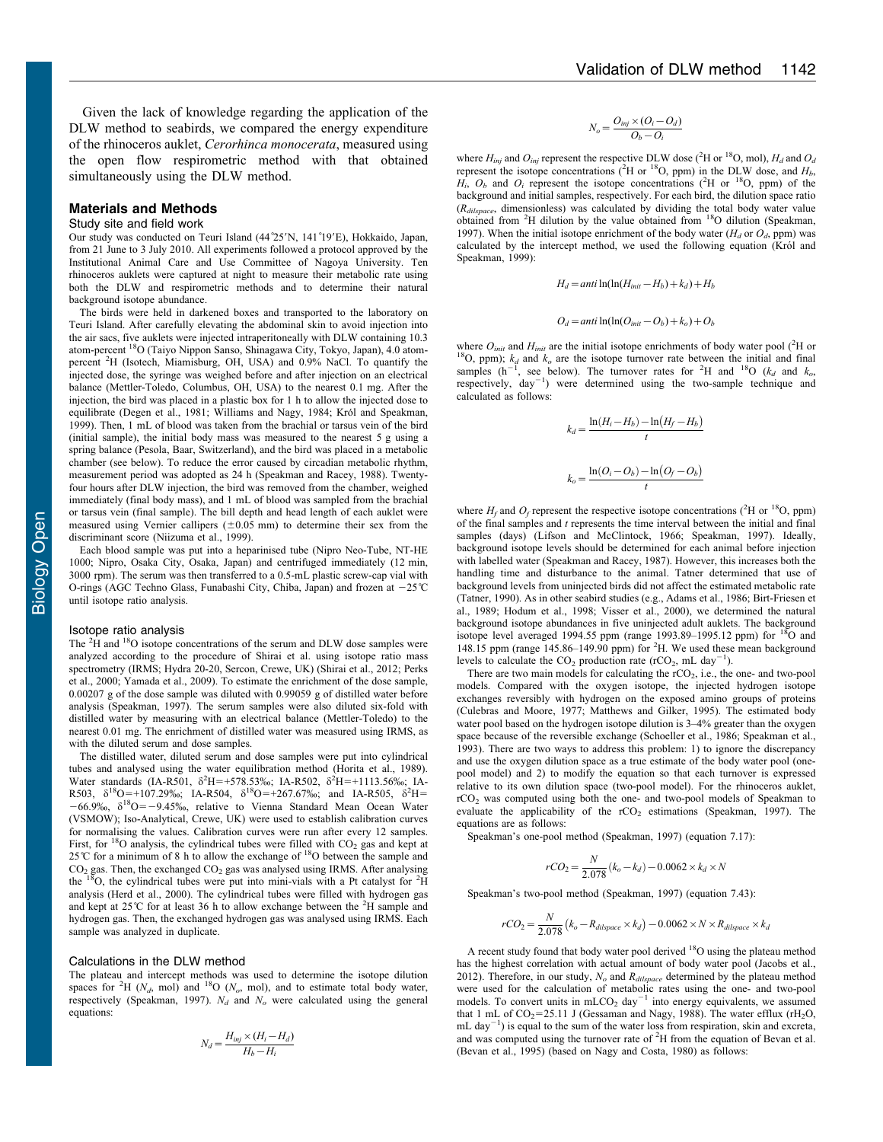Given the lack of knowledge regarding the application of the DLW method to seabirds, we compared the energy expenditure of the rhinoceros auklet, Cerorhinca monocerata, measured using the open flow respirometric method with that obtained simultaneously using the DLW method.

#### Materials and Methods

#### Study site and field work

Our study was conducted on Teuri Island (44°25'N, 141°19'E), Hokkaido, Japan, from 21 June to 3 July 2010. All experiments followed a protocol approved by the Institutional Animal Care and Use Committee of Nagoya University. Ten rhinoceros auklets were captured at night to measure their metabolic rate using both the DLW and respirometric methods and to determine their natural background isotope abundance.

The birds were held in darkened boxes and transported to the laboratory on Teuri Island. After carefully elevating the abdominal skin to avoid injection into the air sacs, five auklets were injected intraperitoneally with DLW containing 10.3 atom-percent 18O (Taiyo Nippon Sanso, Shinagawa City, Tokyo, Japan), 4.0 atompercent <sup>2</sup>H (Isotech, Miamisburg, OH, USA) and 0.9% NaCl. To quantify the injected dose, the syringe was weighed before and after injection on an electrical balance (Mettler-Toledo, Columbus, OH, USA) to the nearest 0.1 mg. After the injection, the bird was placed in a plastic box for 1 h to allow the injected dose to equilibrate [\(Degen et al., 1981](#page-4-0); [Williams and Nagy, 1984](#page-4-0); Król and Speakman, [1999\)](#page-4-0). Then, 1 mL of blood was taken from the brachial or tarsus vein of the bird (initial sample), the initial body mass was measured to the nearest 5 g using a spring balance (Pesola, Baar, Switzerland), and the bird was placed in a metabolic chamber (see below). To reduce the error caused by circadian metabolic rhythm, measurement period was adopted as 24 h ([Speakman and Racey, 1988\)](#page-4-0). Twentyfour hours after DLW injection, the bird was removed from the chamber, weighed immediately (final body mass), and 1 mL of blood was sampled from the brachial or tarsus vein (final sample). The bill depth and head length of each auklet were measured using Vernier callipers  $(\pm 0.05 \text{ mm})$  to determine their sex from the discriminant score ([Niizuma et al., 1999\)](#page-4-0).

Each blood sample was put into a heparinised tube (Nipro Neo-Tube, NT-HE 1000; Nipro, Osaka City, Osaka, Japan) and centrifuged immediately (12 min, 3000 rpm). The serum was then transferred to a 0.5-mL plastic screw-cap vial with O-rings (AGC Techno Glass, Funabashi City, Chiba, Japan) and frozen at  $-25^{\circ}\text{C}$ until isotope ratio analysis.

#### Isotope ratio analysis

The <sup>2</sup>H and <sup>18</sup>O isotope concentrations of the serum and DLW dose samples were analyzed according to the procedure of Shirai et al. using isotope ratio mass spectrometry (IRMS; Hydra 20-20, Sercon, Crewe, UK) [\(Shirai et al., 2012](#page-4-0); [Perks](#page-4-0) [et al., 2000; Yamada et al., 2009\)](#page-4-0). To estimate the enrichment of the dose sample, 0.00207 g of the dose sample was diluted with 0.99059 g of distilled water before analysis ([Speakman, 1997\)](#page-4-0). The serum samples were also diluted six-fold with distilled water by measuring with an electrical balance (Mettler-Toledo) to the nearest 0.01 mg. The enrichment of distilled water was measured using IRMS, as with the diluted serum and dose samples.

The distilled water, diluted serum and dose samples were put into cylindrical tubes and analysed using the water equilibration method ([Horita et al., 1989\)](#page-4-0). Water standards (IA-R501,  $\delta^2 H = +578.53\%$ ; IA-R502,  $\delta^2 H = +1113.56\%$ ; IA-R503,  $\delta^{18}$ O=+107.29‰; IA-R504,  $\delta^{18}$ O=+267.67‰; and IA-R505,  $\delta^{2}$ H=  $-66.9\%$ ,  $\delta^{18}$ O= $-9.45\%$ , relative to Vienna Standard Mean Ocean Water (VSMOW); Iso-Analytical, Crewe, UK) were used to establish calibration curves for normalising the values. Calibration curves were run after every 12 samples. First, for  ${}^{18}$ O analysis, the cylindrical tubes were filled with CO<sub>2</sub> gas and kept at 25˚C for a minimum of 8 h to allow the exchange of 18O between the sample and CO<sub>2</sub> gas. Then, the exchanged CO<sub>2</sub> gas was analysed using IRMS. After analysing the <sup>18</sup>O, the cylindrical tubes were put into mini-vials with a Pt catalyst for <sup>2</sup>H analysis [\(Herd et al., 2000\)](#page-4-0). The cylindrical tubes were filled with hydrogen gas and kept at  $25^{\circ}$ C for at least 36 h to allow exchange between the <sup>2</sup>H sample and hydrogen gas. Then, the exchanged hydrogen gas was analysed using IRMS. Each sample was analyzed in duplicate.

#### Calculations in the DLW method

The plateau and intercept methods was used to determine the isotope dilution spaces for <sup>2</sup>H ( $N_d$ , mol) and <sup>18</sup>O ( $N_o$ , mol), and to estimate total body water, respectively [\(Speakman, 1997](#page-4-0)).  $N_d$  and  $N_o$  were calculated using the general equations:

$$
N_d = \frac{H_{inj} \times (H_i - H_d)}{H_b - H_i}
$$

$$
N_o = \frac{O_{inj} \times (O_i - O_d)}{O_b - O_i}
$$

where  $H_{inj}$  and  $O_{inj}$  represent the respective DLW dose (<sup>2</sup>H or <sup>18</sup>O, mol),  $H_d$  and  $O_d$ represent the isotope concentrations ( ${}^{2}$ H or  ${}^{18}$ O, ppm) in the DLW dose, and  $H_b$ ,  $H_i$ ,  $O_b$  and  $O_i$  represent the isotope concentrations (<sup>2</sup>H or <sup>18</sup>O, ppm) of the background and initial samples, respectively. For each bird, the dilution space ratio  $(R_{dilspace}$ , dimensionless) was calculated by dividing the total body water value obtained from <sup>2</sup>H dilution by the value obtained from <sup>18</sup>O dilution ([Speakman,](#page-4-0) [1997\)](#page-4-0). When the initial isotope enrichment of the body water  $(H<sub>d</sub>$  or  $O<sub>d</sub>$ , ppm) was calculated by the intercept method, we used the following equation (Król and [Speakman, 1999](#page-4-0)):

$$
H_d = anti \ln(\ln(H_{init} - H_b) + k_d) + H_b
$$

$$
O_d = anti \ln(\ln(O_{init} - O_b) + k_o) + O_b
$$

where  $O_{init}$  and  $H_{init}$  are the initial isotope enrichments of body water pool (<sup>2</sup>H or where  $O_{init}$  and  $H_{init}$  are the initial isotope enrichments of body water pool ( ${}^{2}H$  or  ${}^{18}O$ , ppm);  $k_d$  and  $k_o$  are the isotope turnover rate between the initial and final samples (h<sup>-1</sup>, see below). The turnover samples  $(h^{-1}$ , see below). The turnover rates for <sup>2</sup>H and <sup>18</sup>O ( $k_d$  and  $k_o$ , respectively, day<sup>-1</sup>) were determined using the two-sample technique and calculated as follows:

$$
k_d = \frac{\ln(H_i - H_b) - \ln(H_f - H_b)}{t}
$$

$$
k_o = \frac{\ln(O_i - O_b) - \ln(O_f - O_b)}{t}
$$

where  $H_f$  and  $O_f$  represent the respective isotope concentrations (<sup>2</sup>H or <sup>18</sup>O, ppm) of the final samples and  $t$  represents the time interval between the initial and final samples (days) ([Lifson and McClintock, 1966](#page-4-0); [Speakman, 1997](#page-4-0)). Ideally, background isotope levels should be determined for each animal before injection with labelled water ([Speakman and Racey, 1987](#page-4-0)). However, this increases both the handling time and disturbance to the animal. Tatner determined that use of background levels from uninjected birds did not affect the estimated metabolic rate [\(Tatner, 1990\)](#page-4-0). As in other seabird studies (e.g., [Adams et al., 1986](#page-3-0); [Birt-Friesen et](#page-3-0) [al., 1989](#page-3-0); [Hodum et al., 1998; Visser et al., 2000\)](#page-4-0), we determined the natural background isotope abundances in five uninjected adult auklets. The background isotope level averaged 1994.55 ppm (range 1993.89–1995.12 ppm) for  $^{18}$ O and 148.15 ppm (range 145.86–149.90 ppm) for <sup>2</sup> H. We used these mean background levels to calculate the  $CO<sub>2</sub>$  production rate (rCO<sub>2</sub>, mL day<sup>-1</sup>).

There are two main models for calculating the  $rCO<sub>2</sub>$ , i.e., the one- and two-pool models. Compared with the oxygen isotope, the injected hydrogen isotope exchanges reversibly with hydrogen on the exposed amino groups of proteins [\(Culebras and Moore, 1977;](#page-3-0) [Matthews and Gilker, 1995\)](#page-4-0). The estimated body water pool based on the hydrogen isotope dilution is  $3-4%$  greater than the oxygen space because of the reversible exchange ([Schoeller et al., 1986](#page-4-0); [Speakman et al.,](#page-4-0) [1993\)](#page-4-0). There are two ways to address this problem: 1) to ignore the discrepancy and use the oxygen dilution space as a true estimate of the body water pool (onepool model) and 2) to modify the equation so that each turnover is expressed relative to its own dilution space (two-pool model). For the rhinoceros auklet, rCO2 was computed using both the one- and two-pool models of Speakman to evaluate the applicability of the  $rCO<sub>2</sub>$  estimations ([Speakman, 1997\)](#page-4-0). The equations are as follows:

Speakman's one-pool method [\(Speakman, 1997\)](#page-4-0) (equation 7.17):

$$
rCO_2 = \frac{N}{2.078} (k_o - k_d) - 0.0062 \times k_d \times N
$$

Speakman's two-pool method [\(Speakman, 1997\)](#page-4-0) (equation 7.43):

$$
rCO_2 = \frac{N}{2.078} (k_o - R_{dilspace} \times k_d) - 0.0062 \times N \times R_{dilspace} \times k_d
$$

A recent study found that body water pool derived <sup>18</sup>O using the plateau method has the highest correlation with actual amount of body water pool [\(Jacobs et al.,](#page-4-0) [2012\)](#page-4-0). Therefore, in our study,  $N_o$  and  $R_{dilspace}$  determined by the plateau method were used for the calculation of metabolic rates using the one- and two-pool models. To convert units in  $m<sub>LO2</sub>$  day<sup>-1</sup> into energy equivalents, we assumed that 1 mL of  $CO_2$ =25.11 J [\(Gessaman and Nagy, 1988\)](#page-4-0). The water efflux (rH<sub>2</sub>O,  $mL$  day<sup>-1</sup>) is equal to the sum of the water loss from respiration, skin and excreta, and was computed using the turnover rate of  ${}^{2}H$  from the equation of Bevan et al. [\(Bevan et al., 1995\)](#page-3-0) (based on [Nagy and Costa, 1980\)](#page-4-0) as follows: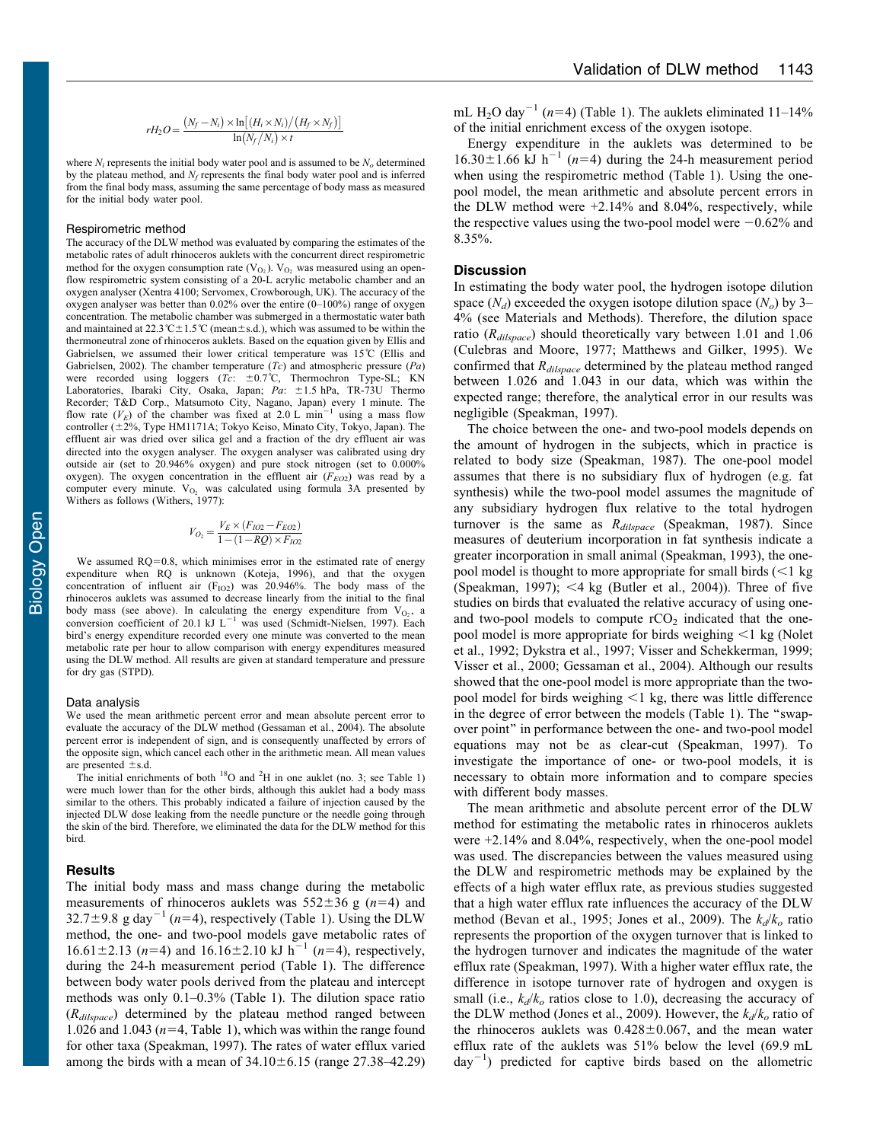$$
rH_2O = \frac{(N_f - N_i) \times \ln[(H_i \times N_i)/(H_f \times N_f)]}{\ln(N_f/N_i) \times t}
$$

where  $N_i$  represents the initial body water pool and is assumed to be  $N_o$  determined by the plateau method, and  $N_f$  represents the final body water pool and is inferred from the final body mass, assuming the same percentage of body mass as measured for the initial body water pool.

#### Respirometric method

The accuracy of the DLW method was evaluated by comparing the estimates of the metabolic rates of adult rhinoceros auklets with the concurrent direct respirometric method for the oxygen consumption rate  $(V<sub>O2</sub>)$ .  $V<sub>O2</sub>$  was measured using an openflow respirometric system consisting of a 20-L acrylic metabolic chamber and an oxygen analyser (Xentra 4100; Servomex, Crowborough, UK). The accuracy of the oxygen analyser was better than 0.02% over the entire (0–100%) range of oxygen concentration. The metabolic chamber was submerged in a thermostatic water bath and maintained at 22.3°C $\pm$ 1.5°C (mean $\pm$ s.d.), which was assumed to be within the thermoneutral zone of rhinoceros auklets. Based on the equation given by Ellis and Gabrielsen, we assumed their lower critical temperature was 15˚C [\(Ellis and](#page-4-0) [Gabrielsen, 2002\)](#page-4-0). The chamber temperature  $(Tc)$  and atmospheric pressure  $(Pa)$ were recorded using loggers (Tc:  $\pm 0.7$ °C, Thermochron Type-SL; KN Laboratories, Ibaraki City, Osaka, Japan; Pa: ±1.5 hPa, TR-73U Thermo Recorder; T&D Corp., Matsumoto City, Nagano, Japan) every 1 minute. The flow rate  $(V_E)$  of the chamber was fixed at 2.0 L min<sup>-1</sup> using a mass flow controller ( $\pm 2\%$ , Type HM1171A; Tokyo Keiso, Minato City, Tokyo, Japan). The effluent air was dried over silica gel and a fraction of the dry effluent air was directed into the oxygen analyser. The oxygen analyser was calibrated using dry outside air (set to 20.946% oxygen) and pure stock nitrogen (set to 0.000% oxygen). The oxygen concentration in the effluent air  $(F_{EO2})$  was read by a computer every minute.  $V_{O_2}$  was calculated using formula 3A presented by Withers as follows [\(Withers, 1977](#page-4-0)):

$$
V_{O_2} = \frac{V_E \times (F_{IO2} - F_{EO2})}{1 - (1 - RQ) \times F_{IO2}}
$$

We assumed  $RQ=0.8$ , which minimises error in the estimated rate of energy expenditure when RQ is unknown ([Koteja, 1996](#page-4-0)), and that the oxygen concentration of influent air  $(F<sub>IO</sub>)$  was 20.946%. The body mass of the rhinoceros auklets was assumed to decrease linearly from the initial to the final body mass (see above). In calculating the energy expenditure from  $V_{O_2}$ , a conversion coefficient of 20.1 kJ L<sup>-1</sup> was used ([Schmidt-Nielsen, 1997](#page-4-0)). Each bird's energy expenditure recorded every one minute was converted to the mean metabolic rate per hour to allow comparison with energy expenditures measured using the DLW method. All results are given at standard temperature and pressure for dry gas (STPD).

#### Data analysis

We used the mean arithmetic percent error and mean absolute percent error to evaluate the accuracy of the DLW method [\(Gessaman et al., 2004\)](#page-4-0). The absolute percent error is independent of sign, and is consequently unaffected by errors of the opposite sign, which cancel each other in the arithmetic mean. All mean values are presented  $\pm$ s.d.

The initial enrichments of both  $^{18}$ O and  $^{2}$ H in one auklet (no. 3; see [Table 1](#page-3-0)) were much lower than for the other birds, although this auklet had a body mass similar to the others. This probably indicated a failure of injection caused by the injected DLW dose leaking from the needle puncture or the needle going through the skin of the bird. Therefore, we eliminated the data for the DLW method for this bird.

### Results

The initial body mass and mass change during the metabolic measurements of rhinoceros auklets was  $552 \pm 36$  g (n=4) and 32.7±9.8 g day<sup>-1</sup> (n=4), respectively [\(Table 1\)](#page-3-0). Using the DLW method, the one- and two-pool models gave metabolic rates of 16.61 ± 2.13 (n=4) and 16.16 ± 2.10 kJ h<sup>-1</sup> (n=4), respectively, during the 24-h measurement period [\(Table 1\)](#page-3-0). The difference between body water pools derived from the plateau and intercept methods was only 0.1–0.3% ([Table 1](#page-3-0)). The dilution space ratio  $(R_{\text{dilspace}})$  determined by the plateau method ranged between 1.026 and 1.043 ( $n=4$ , [Table 1\)](#page-3-0), which was within the range found for other taxa [\(Speakman, 1997](#page-4-0)). The rates of water efflux varied among the birds with a mean of  $34.10 \pm 6.15$  (range 27.38–42.29)

mL H<sub>2</sub>O day<sup>-1</sup> (n=4) ([Table 1\)](#page-3-0). The auklets eliminated 11–14% of the initial enrichment excess of the oxygen isotope.

Energy expenditure in the auklets was determined to be  $16.30 \pm 1.66$  kJ h<sup>-1</sup> (n=4) during the 24-h measurement period when using the respirometric method [\(Table 1\)](#page-3-0). Using the onepool model, the mean arithmetic and absolute percent errors in the DLW method were +2.14% and 8.04%, respectively, while the respective values using the two-pool model were  $-0.62\%$  and 8.35%.

# **Discussion**

In estimating the body water pool, the hydrogen isotope dilution space  $(N_d)$  exceeded the oxygen isotope dilution space  $(N_o)$  by 3– 4% (see Materials and Methods). Therefore, the dilution space ratio ( $R_{\text{dilspace}}$ ) should theoretically vary between 1.01 and 1.06 ([Culebras and Moore, 1977;](#page-3-0) [Matthews and Gilker, 1995\)](#page-4-0). We confirmed that  $R_{dilspace}$  determined by the plateau method ranged between 1.026 and 1.043 in our data, which was within the expected range; therefore, the analytical error in our results was negligible [\(Speakman, 1997](#page-4-0)).

The choice between the one- and two-pool models depends on the amount of hydrogen in the subjects, which in practice is related to body size [\(Speakman, 1987\)](#page-4-0). The one-pool model assumes that there is no subsidiary flux of hydrogen (e.g. fat synthesis) while the two-pool model assumes the magnitude of any subsidiary hydrogen flux relative to the total hydrogen turnover is the same as  $R_{dilspace}$  ([Speakman, 1987\)](#page-4-0). Since measures of deuterium incorporation in fat synthesis indicate a greater incorporation in small animal ([Speakman, 1993\)](#page-4-0), the onepool model is thought to more appropriate for small birds  $\leq 1$  kg ([Speakman, 1997\)](#page-4-0); <4 kg [\(Butler et al., 2004](#page-3-0))). Three of five studies on birds that evaluated the relative accuracy of using oneand two-pool models to compute  $rCO<sub>2</sub>$  indicated that the onepool model is more appropriate for birds weighing  $\leq 1$  kg ([Nolet](#page-4-0) [et al., 1992](#page-4-0); [Dykstra et al., 1997; Visser and Schekkerman, 1999](#page-4-0); [Visser et al., 2000](#page-4-0); [Gessaman et al., 2004](#page-4-0)). Although our results showed that the one-pool model is more appropriate than the twopool model for birds weighing  $<$ 1 kg, there was little difference in the degree of error between the models ([Table 1](#page-3-0)). The ''swapover point'' in performance between the one- and two-pool model equations may not be as clear-cut [\(Speakman, 1997](#page-4-0)). To investigate the importance of one- or two-pool models, it is necessary to obtain more information and to compare species with different body masses.

The mean arithmetic and absolute percent error of the DLW method for estimating the metabolic rates in rhinoceros auklets were +2.14% and 8.04%, respectively, when the one-pool model was used. The discrepancies between the values measured using the DLW and respirometric methods may be explained by the effects of a high water efflux rate, as previous studies suggested that a high water efflux rate influences the accuracy of the DLW method ([Bevan et al., 1995](#page-3-0); [Jones et al., 2009](#page-4-0)). The  $k_d/k_o$  ratio represents the proportion of the oxygen turnover that is linked to the hydrogen turnover and indicates the magnitude of the water efflux rate ([Speakman, 1997\)](#page-4-0). With a higher water efflux rate, the difference in isotope turnover rate of hydrogen and oxygen is small (i.e.,  $k_d/k_o$  ratios close to 1.0), decreasing the accuracy of the DLW method [\(Jones et al., 2009](#page-4-0)). However, the  $k_d/k_o$  ratio of the rhinoceros auklets was  $0.428 \pm 0.067$ , and the mean water efflux rate of the auklets was 51% below the level (69.9 mL  $day^{-1}$ ) predicted for captive birds based on the allometric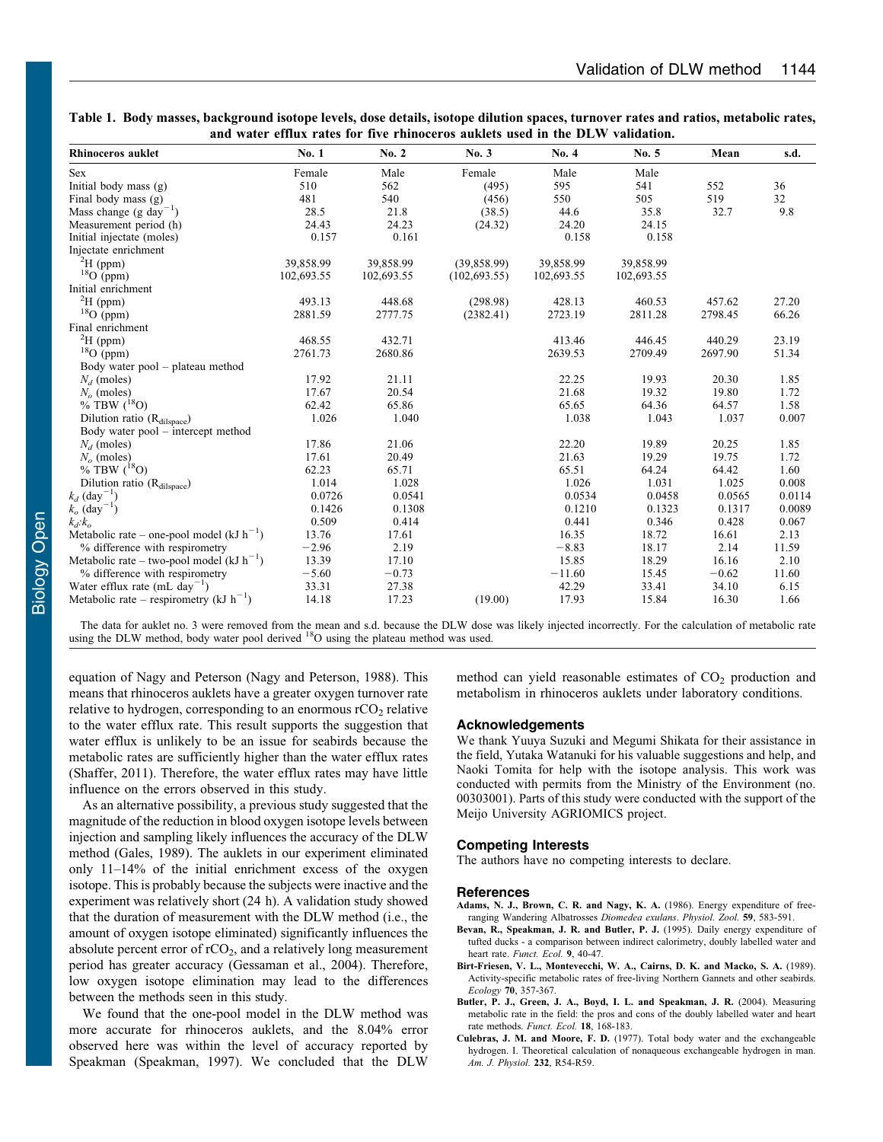| <b>Rhinoceros auklet</b>                       | No. 1      | No. 2      | No. 3         | No. 4      | No. 5      | Mean    | s.d.   |
|------------------------------------------------|------------|------------|---------------|------------|------------|---------|--------|
| Sex                                            | Female     | Male       | Female        | Male       | Male       |         |        |
| Initial body mass $(g)$                        | 510        | 562        | (495)         | 595        | 541        | 552     | 36     |
| Final body mass $(g)$                          | 481        | 540        | (456)         | 550        | 505        | 519     | 32     |
| Mass change (g day <sup>-1</sup> )             | 28.5       | 21.8       | (38.5)        | 44.6       | 35.8       | 32.7    | 9.8    |
| Measurement period (h)                         | 24.43      | 24.23      | (24.32)       | 24.20      | 24.15      |         |        |
| Initial injectate (moles)                      | 0.157      | 0.161      |               | 0.158      | 0.158      |         |        |
| Injectate enrichment                           |            |            |               |            |            |         |        |
| ${}^{2}H$ (ppm)                                | 39,858.99  | 39,858.99  | (39,858.99)   | 39,858.99  | 39,858.99  |         |        |
| ${}^{18}O$ (ppm)                               | 102,693.55 | 102,693.55 | (102, 693.55) | 102,693.55 | 102,693.55 |         |        |
| Initial enrichment                             |            |            |               |            |            |         |        |
| ${}^{2}H$ (ppm)                                | 493.13     | 448.68     | (298.98)      | 428.13     | 460.53     | 457.62  | 27.20  |
| $^{18}$ O (ppm)                                | 2881.59    | 2777.75    | (2382.41)     | 2723.19    | 2811.28    | 2798.45 | 66.26  |
| Final enrichment                               |            |            |               |            |            |         |        |
| ${}^{2}H$ (ppm)                                | 468.55     | 432.71     |               | 413.46     | 446.45     | 440.29  | 23.19  |
| $18$ O (ppm)                                   | 2761.73    | 2680.86    |               | 2639.53    | 2709.49    | 2697.90 | 51.34  |
| Body water pool – plateau method               |            |            |               |            |            |         |        |
| $N_d$ (moles)                                  | 17.92      | 21.11      |               | 22.25      | 19.93      | 20.30   | 1.85   |
| $No$ (moles)                                   | 17.67      | 20.54      |               | 21.68      | 19.32      | 19.80   | 1.72   |
| % TBW $(^{18}O)$                               | 62.42      | 65.86      |               | 65.65      | 64.36      | 64.57   | 1.58   |
| Dilution ratio (R <sub>dilspace</sub> )        | 1.026      | 1.040      |               | 1.038      | 1.043      | 1.037   | 0.007  |
| Body water pool – intercept method             |            |            |               |            |            |         |        |
| $N_d$ (moles)                                  | 17.86      | 21.06      |               | 22.20      | 19.89      | 20.25   | 1.85   |
| $N_o$ (moles)                                  | 17.61      | 20.49      |               | 21.63      | 19.29      | 19.75   | 1.72   |
| % TBW $(^{18}O)$                               | 62.23      | 65.71      |               | 65.51      | 64.24      | 64.42   | 1.60   |
| Dilution ratio (Rdilspace)                     | 1.014      | 1.028      |               | 1.026      | 1.031      | 1.025   | 0.008  |
| $k_d$ (day <sup>-1</sup> )                     | 0.0726     | 0.0541     |               | 0.0534     | 0.0458     | 0.0565  | 0.0114 |
| $k_o$ (day <sup>-1</sup> )                     | 0.1426     | 0.1308     |               | 0.1210     | 0.1323     | 0.1317  | 0.0089 |
| $k_d$ : $k_o$                                  | 0.509      | 0.414      |               | 0.441      | 0.346      | 0.428   | 0.067  |
| Metabolic rate – one-pool model (kJ $h^{-1}$ ) | 13.76      | 17.61      |               | 16.35      | 18.72      | 16.61   | 2.13   |
| % difference with respirometry                 | $-2.96$    | 2.19       |               | $-8.83$    | 18.17      | 2.14    | 11.59  |
| Metabolic rate – two-pool model (kJ $h^{-1}$ ) | 13.39      | 17.10      |               | 15.85      | 18.29      | 16.16   | 2.10   |
| % difference with respirometry                 | $-5.60$    | $-0.73$    |               | $-11.60$   | 15.45      | $-0.62$ | 11.60  |
| Water efflux rate (mL day <sup>-1</sup> )      | 33.31      | 27.38      |               | 42.29      | 33.41      | 34.10   | 6.15   |
| Metabolic rate – respirometry (kJ $h^{-1}$ )   | 14.18      | 17.23      | (19.00)       | 17.93      | 15.84      | 16.30   | 1.66   |

<span id="page-3-0"></span>Table 1. Body masses, background isotope levels, dose details, isotope dilution spaces, turnover rates and ratios, metabolic rates, and water efflux rates for five rhinoceros auklets used in the DLW validation.

The data for auklet no. 3 were removed from the mean and s.d. because the DLW dose was likely injected incorrectly. For the calculation of metabolic rate using the DLW method, body water pool derived <sup>18</sup>O using the platea

equation of Nagy and Peterson ([Nagy and Peterson, 1988](#page-4-0)). This means that rhinoceros auklets have a greater oxygen turnover rate relative to hydrogen, corresponding to an enormous  $rCO<sub>2</sub>$  relative to the water efflux rate. This result supports the suggestion that water efflux is unlikely to be an issue for seabirds because the metabolic rates are sufficiently higher than the water efflux rates [\(Shaffer, 2011](#page-4-0)). Therefore, the water efflux rates may have little influence on the errors observed in this study.

As an alternative possibility, a previous study suggested that the magnitude of the reduction in blood oxygen isotope levels between injection and sampling likely influences the accuracy of the DLW method [\(Gales, 1989](#page-4-0)). The auklets in our experiment eliminated only 11–14% of the initial enrichment excess of the oxygen isotope. This is probably because the subjects were inactive and the experiment was relatively short (24 h). A validation study showed that the duration of measurement with the DLW method (i.e., the amount of oxygen isotope eliminated) significantly influences the absolute percent error of  $rCO<sub>2</sub>$ , and a relatively long measurement period has greater accuracy ([Gessaman et al., 2004](#page-4-0)). Therefore, low oxygen isotope elimination may lead to the differences between the methods seen in this study.

We found that the one-pool model in the DLW method was more accurate for rhinoceros auklets, and the 8.04% error observed here was within the level of accuracy reported by Speakman [\(Speakman, 1997\)](#page-4-0). We concluded that the DLW method can yield reasonable estimates of  $CO<sub>2</sub>$  production and metabolism in rhinoceros auklets under laboratory conditions.

# Acknowledgements

We thank Yuuya Suzuki and Megumi Shikata for their assistance in the field, Yutaka Watanuki for his valuable suggestions and help, and Naoki Tomita for help with the isotope analysis. This work was conducted with permits from the Ministry of the Environment (no. 00303001). Parts of this study were conducted with the support of the Meijo University AGRIOMICS project.

# Competing Interests

The authors have no competing interests to declare.

# References

- Adams, N. J., Brown, C. R. and Nagy, K. A. (1986). Energy expenditure of freeranging Wandering Albatrosses Diomedea exulans. Physiol. Zool. 59, 583-591.
- [Bevan, R., Speakman, J. R. and Butler, P. J.](http://dx.doi.org/10.2307%2F2390088) (1995). Daily energy expenditure of [tufted ducks - a comparison between indirect calorimetry, doubly labelled water and](http://dx.doi.org/10.2307%2F2390088) heart rate. [Funct. Ecol.](http://dx.doi.org/10.2307%2F2390088) 9, 40-47.
- [Birt-Friesen, V. L., Montevecchi, W. A., Cairns, D. K. and Macko, S. A.](http://dx.doi.org/10.2307%2F1937540) (1989). [Activity-specific metabolic rates of free-living Northern Gannets and other seabirds.](http://dx.doi.org/10.2307%2F1937540) Ecology 70[, 357-367.](http://dx.doi.org/10.2307%2F1937540)
- [Butler, P. J., Green, J. A., Boyd, I. L. and Speakman, J. R.](http://dx.doi.org/10.1111%2Fj.0269-8463.2004.00821.x) (2004). Measuring [metabolic rate in the field: the pros and cons of the doubly labelled water and heart](http://dx.doi.org/10.1111%2Fj.0269-8463.2004.00821.x) [rate methods.](http://dx.doi.org/10.1111%2Fj.0269-8463.2004.00821.x) Funct. Ecol. 18, 168-183.
- Culebras, J. M. and Moore, F. D. (1977). Total body water and the exchangeable hydrogen. I. Theoretical calculation of nonaqueous exchangeable hydrogen in man. Am. J. Physiol. 232, R54-R59.